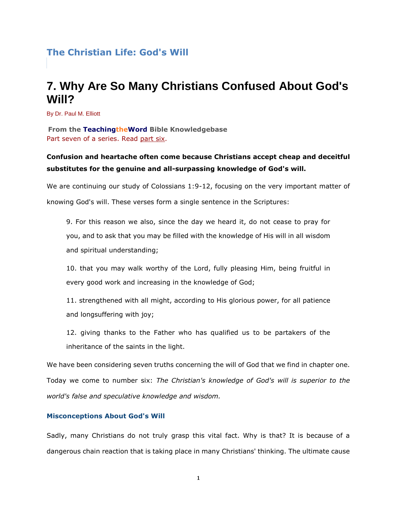# **The Christian Life: God's Will**

# **7. Why Are So Many Christians Confused About God's Will?**

By Dr. Paul M. Elliott

**From the TeachingtheWord Bible Knowledgebase** Part seven of a series. Read [part six.](http://www.teachingtheword.org/apps/articles/default.asp?articleid=71484&columnid=5437)

## **Confusion and heartache often come because Christians accept cheap and deceitful substitutes for the genuine and all-surpassing knowledge of God's will.**

We are continuing our study of Colossians 1:9-12, focusing on the very important matter of knowing God's will. These verses form a single sentence in the Scriptures:

9. For this reason we also, since the day we heard it, do not cease to pray for you, and to ask that you may be filled with the knowledge of His will in all wisdom and spiritual understanding;

10. that you may walk worthy of the Lord, fully pleasing Him, being fruitful in every good work and increasing in the knowledge of God;

11. strengthened with all might, according to His glorious power, for all patience and longsuffering with joy;

12. giving thanks to the Father who has qualified us to be partakers of the inheritance of the saints in the light.

We have been considering seven truths concerning the will of God that we find in chapter one. Today we come to number six: *The Christian's knowledge of God's will is superior to the world's false and speculative knowledge and wisdom.*

### **Misconceptions About God's Will**

Sadly, many Christians do not truly grasp this vital fact. Why is that? It is because of a dangerous chain reaction that is taking place in many Christians' thinking. The ultimate cause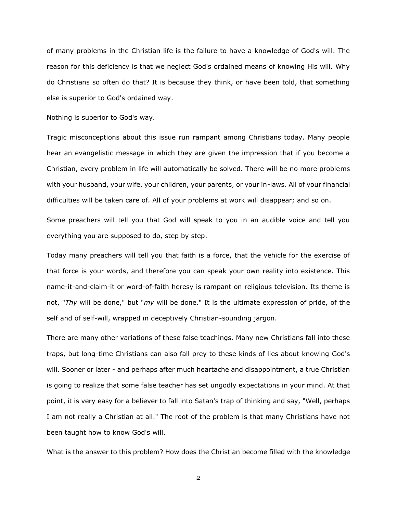of many problems in the Christian life is the failure to have a knowledge of God's will. The reason for this deficiency is that we neglect God's ordained means of knowing His will. Why do Christians so often do that? It is because they think, or have been told, that something else is superior to God's ordained way.

Nothing is superior to God's way.

Tragic misconceptions about this issue run rampant among Christians today. Many people hear an evangelistic message in which they are given the impression that if you become a Christian, every problem in life will automatically be solved. There will be no more problems with your husband, your wife, your children, your parents, or your in-laws. All of your financial difficulties will be taken care of. All of your problems at work will disappear; and so on.

Some preachers will tell you that God will speak to you in an audible voice and tell you everything you are supposed to do, step by step.

Today many preachers will tell you that faith is a force, that the vehicle for the exercise of that force is your words, and therefore you can speak your own reality into existence. This name-it-and-claim-it or word-of-faith heresy is rampant on religious television. Its theme is not, "*Thy* will be done," but "*my* will be done." It is the ultimate expression of pride, of the self and of self-will, wrapped in deceptively Christian-sounding jargon.

There are many other variations of these false teachings. Many new Christians fall into these traps, but long-time Christians can also fall prey to these kinds of lies about knowing God's will. Sooner or later - and perhaps after much heartache and disappointment, a true Christian is going to realize that some false teacher has set ungodly expectations in your mind. At that point, it is very easy for a believer to fall into Satan's trap of thinking and say, "Well, perhaps I am not really a Christian at all." The root of the problem is that many Christians have not been taught how to know God's will.

What is the answer to this problem? How does the Christian become filled with the knowledge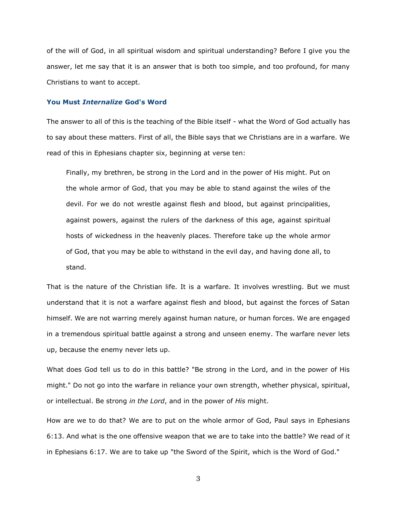of the will of God, in all spiritual wisdom and spiritual understanding? Before I give you the answer, let me say that it is an answer that is both too simple, and too profound, for many Christians to want to accept.

#### **You Must** *Internalize* **God's Word**

The answer to all of this is the teaching of the Bible itself - what the Word of God actually has to say about these matters. First of all, the Bible says that we Christians are in a warfare. We read of this in Ephesians chapter six, beginning at verse ten:

Finally, my brethren, be strong in the Lord and in the power of His might. Put on the whole armor of God, that you may be able to stand against the wiles of the devil. For we do not wrestle against flesh and blood, but against principalities, against powers, against the rulers of the darkness of this age, against spiritual hosts of wickedness in the heavenly places. Therefore take up the whole armor of God, that you may be able to withstand in the evil day, and having done all, to stand.

That is the nature of the Christian life. It is a warfare. It involves wrestling. But we must understand that it is not a warfare against flesh and blood, but against the forces of Satan himself. We are not warring merely against human nature, or human forces. We are engaged in a tremendous spiritual battle against a strong and unseen enemy. The warfare never lets up, because the enemy never lets up.

What does God tell us to do in this battle? "Be strong in the Lord, and in the power of His might." Do not go into the warfare in reliance your own strength, whether physical, spiritual, or intellectual. Be strong *in the Lord*, and in the power of *His* might.

How are we to do that? We are to put on the whole armor of God, Paul says in Ephesians 6:13. And what is the one offensive weapon that we are to take into the battle? We read of it in Ephesians 6:17. We are to take up "the Sword of the Spirit, which is the Word of God."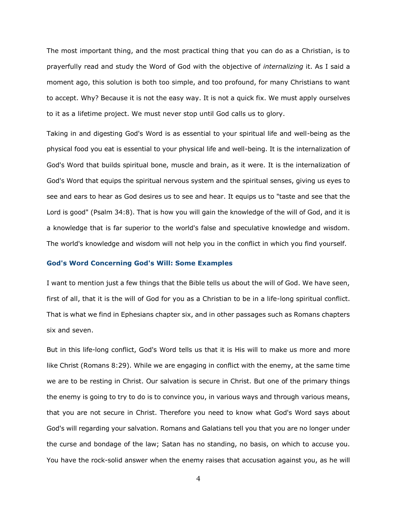The most important thing, and the most practical thing that you can do as a Christian, is to prayerfully read and study the Word of God with the objective of *internalizing* it. As I said a moment ago, this solution is both too simple, and too profound, for many Christians to want to accept. Why? Because it is not the easy way. It is not a quick fix. We must apply ourselves to it as a lifetime project. We must never stop until God calls us to glory.

Taking in and digesting God's Word is as essential to your spiritual life and well-being as the physical food you eat is essential to your physical life and well-being. It is the internalization of God's Word that builds spiritual bone, muscle and brain, as it were. It is the internalization of God's Word that equips the spiritual nervous system and the spiritual senses, giving us eyes to see and ears to hear as God desires us to see and hear. It equips us to "taste and see that the Lord is good" (Psalm 34:8). That is how you will gain the knowledge of the will of God, and it is a knowledge that is far superior to the world's false and speculative knowledge and wisdom. The world's knowledge and wisdom will not help you in the conflict in which you find yourself.

#### **God's Word Concerning God's Will: Some Examples**

I want to mention just a few things that the Bible tells us about the will of God. We have seen, first of all, that it is the will of God for you as a Christian to be in a life-long spiritual conflict. That is what we find in Ephesians chapter six, and in other passages such as Romans chapters six and seven.

But in this life-long conflict, God's Word tells us that it is His will to make us more and more like Christ (Romans 8:29). While we are engaging in conflict with the enemy, at the same time we are to be resting in Christ. Our salvation is secure in Christ. But one of the primary things the enemy is going to try to do is to convince you, in various ways and through various means, that you are not secure in Christ. Therefore you need to know what God's Word says about God's will regarding your salvation. Romans and Galatians tell you that you are no longer under the curse and bondage of the law; Satan has no standing, no basis, on which to accuse you. You have the rock-solid answer when the enemy raises that accusation against you, as he will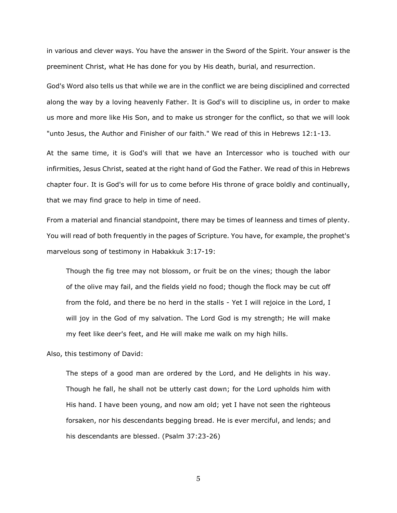in various and clever ways. You have the answer in the Sword of the Spirit. Your answer is the preeminent Christ, what He has done for you by His death, burial, and resurrection.

God's Word also tells us that while we are in the conflict we are being disciplined and corrected along the way by a loving heavenly Father. It is God's will to discipline us, in order to make us more and more like His Son, and to make us stronger for the conflict, so that we will look "unto Jesus, the Author and Finisher of our faith." We read of this in Hebrews 12:1-13.

At the same time, it is God's will that we have an Intercessor who is touched with our infirmities, Jesus Christ, seated at the right hand of God the Father. We read of this in Hebrews chapter four. It is God's will for us to come before His throne of grace boldly and continually, that we may find grace to help in time of need.

From a material and financial standpoint, there may be times of leanness and times of plenty. You will read of both frequently in the pages of Scripture. You have, for example, the prophet's marvelous song of testimony in Habakkuk 3:17-19:

Though the fig tree may not blossom, or fruit be on the vines; though the labor of the olive may fail, and the fields yield no food; though the flock may be cut off from the fold, and there be no herd in the stalls - Yet I will rejoice in the Lord, I will joy in the God of my salvation. The Lord God is my strength; He will make my feet like deer's feet, and He will make me walk on my high hills.

Also, this testimony of David:

The steps of a good man are ordered by the Lord, and He delights in his way. Though he fall, he shall not be utterly cast down; for the Lord upholds him with His hand. I have been young, and now am old; yet I have not seen the righteous forsaken, nor his descendants begging bread. He is ever merciful, and lends; and his descendants are blessed. (Psalm 37:23-26)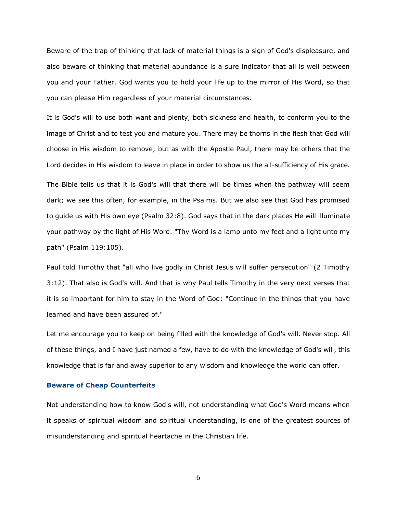Beware of the trap of thinking that lack of material things is a sign of God's displeasure, and also beware of thinking that material abundance is a sure indicator that all is well between you and your Father. God wants you to hold your life up to the mirror of His Word, so that you can please Him regardless of your material circumstances.

It is God's will to use both want and plenty, both sickness and health, to conform you to the image of Christ and to test you and mature you. There may be thorns in the flesh that God will choose in His wisdom to remove; but as with the Apostle Paul, there may be others that the Lord decides in His wisdom to leave in place in order to show us the all-sufficiency of His grace.

The Bible tells us that it is God's will that there will be times when the pathway will seem dark; we see this often, for example, in the Psalms. But we also see that God has promised to guide us with His own eye (Psalm 32:8). God says that in the dark places He will illuminate your pathway by the light of His Word. "Thy Word is a lamp unto my feet and a light unto my path" (Psalm 119:105).

Paul told Timothy that "all who live godly in Christ Jesus will suffer persecution" (2 Timothy 3:12). That also is God's will. And that is why Paul tells Timothy in the very next verses that it is so important for him to stay in the Word of God: "Continue in the things that you have learned and have been assured of."

Let me encourage you to keep on being filled with the knowledge of God's will. Never stop. All of these things, and I have just named a few, have to do with the knowledge of God's will, this knowledge that is far and away superior to any wisdom and knowledge the world can offer.

#### **Beware of Cheap Counterfeits**

Not understanding how to know God's will, not understanding what God's Word means when it speaks of spiritual wisdom and spiritual understanding, is one of the greatest sources of misunderstanding and spiritual heartache in the Christian life.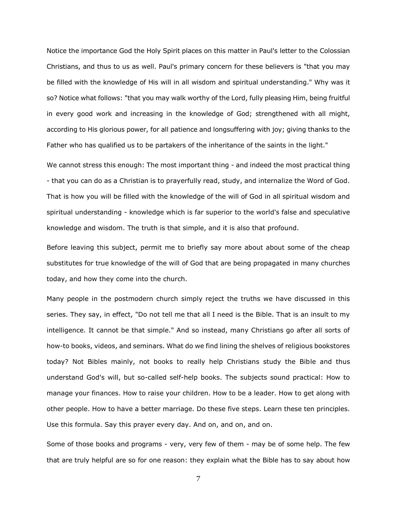Notice the importance God the Holy Spirit places on this matter in Paul's letter to the Colossian Christians, and thus to us as well. Paul's primary concern for these believers is "that you may be filled with the knowledge of His will in all wisdom and spiritual understanding." Why was it so? Notice what follows: "that you may walk worthy of the Lord, fully pleasing Him, being fruitful in every good work and increasing in the knowledge of God; strengthened with all might, according to His glorious power, for all patience and longsuffering with joy; giving thanks to the Father who has qualified us to be partakers of the inheritance of the saints in the light."

We cannot stress this enough: The most important thing - and indeed the most practical thing - that you can do as a Christian is to prayerfully read, study, and internalize the Word of God. That is how you will be filled with the knowledge of the will of God in all spiritual wisdom and spiritual understanding - knowledge which is far superior to the world's false and speculative knowledge and wisdom. The truth is that simple, and it is also that profound.

Before leaving this subject, permit me to briefly say more about about some of the cheap substitutes for true knowledge of the will of God that are being propagated in many churches today, and how they come into the church.

Many people in the postmodern church simply reject the truths we have discussed in this series. They say, in effect, "Do not tell me that all I need is the Bible. That is an insult to my intelligence. It cannot be that simple." And so instead, many Christians go after all sorts of how-to books, videos, and seminars. What do we find lining the shelves of religious bookstores today? Not Bibles mainly, not books to really help Christians study the Bible and thus understand God's will, but so-called self-help books. The subjects sound practical: How to manage your finances. How to raise your children. How to be a leader. How to get along with other people. How to have a better marriage. Do these five steps. Learn these ten principles. Use this formula. Say this prayer every day. And on, and on, and on.

Some of those books and programs - very, very few of them - may be of some help. The few that are truly helpful are so for one reason: they explain what the Bible has to say about how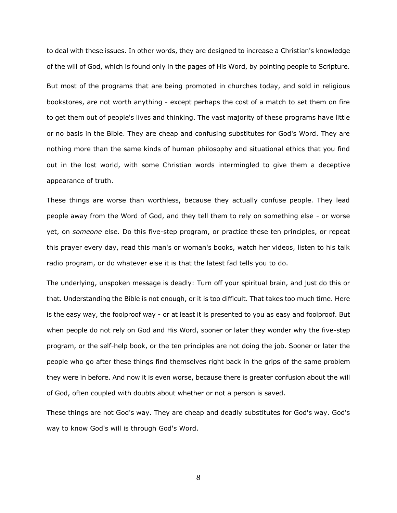to deal with these issues. In other words, they are designed to increase a Christian's knowledge of the will of God, which is found only in the pages of His Word, by pointing people to Scripture. But most of the programs that are being promoted in churches today, and sold in religious bookstores, are not worth anything - except perhaps the cost of a match to set them on fire to get them out of people's lives and thinking. The vast majority of these programs have little or no basis in the Bible. They are cheap and confusing substitutes for God's Word. They are nothing more than the same kinds of human philosophy and situational ethics that you find out in the lost world, with some Christian words intermingled to give them a deceptive appearance of truth.

These things are worse than worthless, because they actually confuse people. They lead people away from the Word of God, and they tell them to rely on something else - or worse yet, on *someone* else. Do this five-step program, or practice these ten principles, or repeat this prayer every day, read this man's or woman's books, watch her videos, listen to his talk radio program, or do whatever else it is that the latest fad tells you to do.

The underlying, unspoken message is deadly: Turn off your spiritual brain, and just do this or that. Understanding the Bible is not enough, or it is too difficult. That takes too much time. Here is the easy way, the foolproof way - or at least it is presented to you as easy and foolproof. But when people do not rely on God and His Word, sooner or later they wonder why the five-step program, or the self-help book, or the ten principles are not doing the job. Sooner or later the people who go after these things find themselves right back in the grips of the same problem they were in before. And now it is even worse, because there is greater confusion about the will of God, often coupled with doubts about whether or not a person is saved.

These things are not God's way. They are cheap and deadly substitutes for God's way. God's way to know God's will is through God's Word.